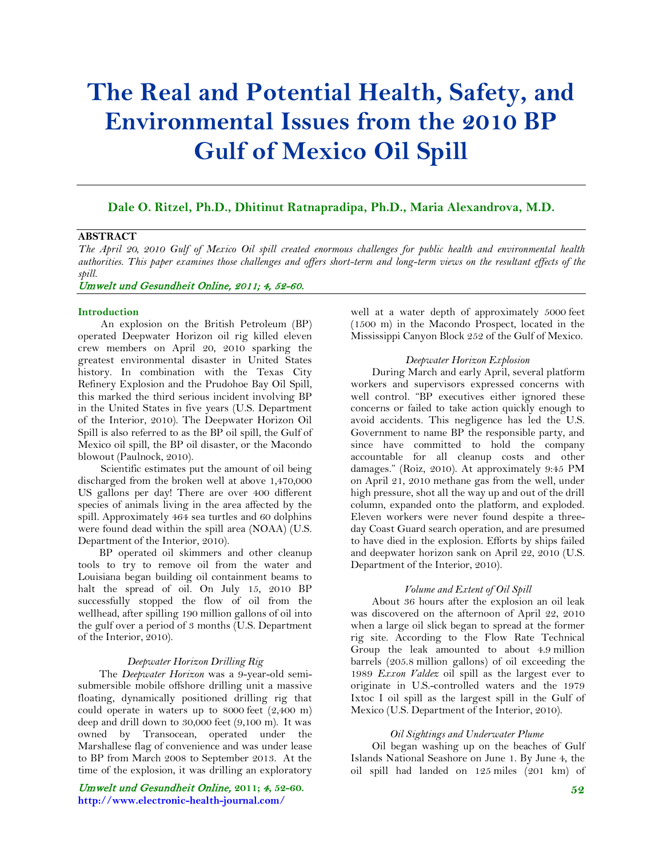# **The Real and Potential Health, Safety, and Environmental Issues from the 2010 BP Gulf of Mexico Oil Spill**

# **Dale O. Ritzel, Ph.D., Dhitinut Ratnapradipa, Ph.D., Maria Alexandrova, M.D.**

# **ABSTRACT**

*The April 20, 2010 Gulf of Mexico Oil spill created enormous challenges for public health and environmental health authorities. This paper examines those challenges and offers short-term and long-term views on the resultant effects of the spill.*

# Umwelt und Gesundheit Online, 2011; 4, 52-60.

# **Introduction**

An explosion on the British Petroleum (BP) operated Deepwater Horizon oil rig killed eleven crew members on April 20, 2010 sparking the greatest environmental disaster in United States history. In combination with the Texas City Refinery Explosion and the Prudohoe Bay Oil Spill, this marked the third serious incident involving BP in the United States in five years (U.S. Department of the Interior, 2010). The Deepwater Horizon Oil Spill is also referred to as the BP oil spill, the Gulf of Mexico oil spill, the BP oil disaster, or the Macondo blowout (Paulnock, 2010).

Scientific estimates put the amount of oil being discharged from the broken well at above 1,470,000 US gallons per day! There are over 400 different species of animals living in the area affected by the spill. Approximately 464 sea turtles and 60 dolphins were found dead within the spill area (NOAA) (U.S. Department of the Interior, 2010).

 BP operated oil skimmers and other cleanup tools to try to remove oil from the water and Louisiana began building oil containment beams to halt the spread of oil. On July 15, 2010 BP successfully stopped the flow of oil from the wellhead, after spilling 190 million gallons of oil into the gulf over a period of 3 months (U.S. Department of the Interior, 2010).

# *Deepwater Horizon Drilling Rig*

 The *Deepwater Horizon* was a 9-year-old semisubmersible mobile offshore drilling unit a massive floating, dynamically positioned drilling rig that could operate in waters up to 8000 feet (2,400 m) deep and drill down to 30,000 feet (9,100 m). It was owned by Transocean, operated under the Marshallese flag of convenience and was under lease to BP from March 2008 to September 2013. At the time of the explosion, it was drilling an exploratory

Umwelt und Gesundheit Online, **2011;** 4**, 52-60. http://www.electronic-health-journal.com/**

well at a water depth of approximately 5000 feet (1500 m) in the Macondo Prospect, located in the Mississippi Canyon Block 252 of the Gulf of Mexico.

# *Deepwater Horizon Explosion*

 During March and early April, several platform workers and supervisors expressed concerns with well control. "BP executives either ignored these concerns or failed to take action quickly enough to avoid accidents. This negligence has led the U.S. Government to name BP the responsible party, and since have committed to hold the company accountable for all cleanup costs and other damages." (Roiz, 2010). At approximately 9:45 PM on April 21, 2010 methane gas from the well, under high pressure, shot all the way up and out of the drill column, expanded onto the platform, and exploded. Eleven workers were never found despite a threeday Coast Guard search operation, and are presumed to have died in the explosion. Efforts by ships failed and deepwater horizon sank on April 22, 2010 (U.S. Department of the Interior, 2010).

# *Volume and Extent of Oil Spill*

 About 36 hours after the explosion an oil leak was discovered on the afternoon of April 22, 2010 when a large oil slick began to spread at the former rig site. According to the Flow Rate Technical Group the leak amounted to about 4.9 million barrels (205.8 million gallons) of oil exceeding the 1989 *Exxon Valdez* oil spill as the largest ever to originate in U.S.-controlled waters and the 1979 Ixtoc I oil spill as the largest spill in the Gulf of Mexico (U.S. Department of the Interior, 2010).

#### *Oil Sightings and Underwater Plume*

 Oil began washing up on the beaches of Gulf Islands National Seashore on June 1. By June 4, the oil spill had landed on 125 miles (201 km) of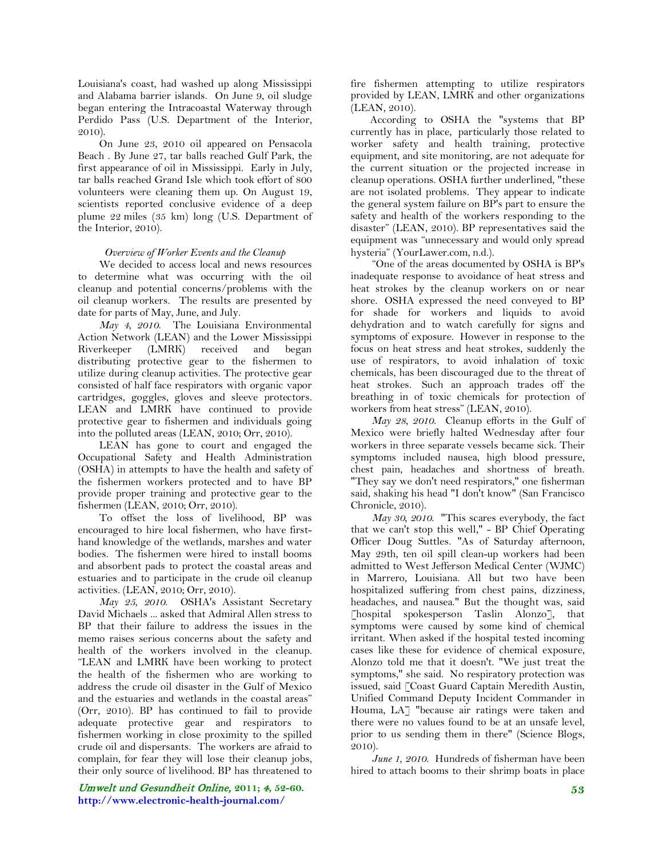Louisiana's coast, had washed up along Mississippi and Alabama barrier islands. On June 9, oil sludge began entering the Intracoastal Waterway through Perdido Pass (U.S. Department of the Interior, 2010).

 On June 23, 2010 oil appeared on Pensacola Beach . By June 27, tar balls reached Gulf Park, the first appearance of oil in Mississippi. Early in July, tar balls reached Grand Isle which took effort of 800 volunteers were cleaning them up. On August 19, scientists reported conclusive evidence of a deep plume 22 miles (35 km) long (U.S. Department of the Interior, 2010).

# *Overview of Worker Events and the Cleanup*

 We decided to access local and news resources to determine what was occurring with the oil cleanup and potential concerns/problems with the oil cleanup workers. The results are presented by date for parts of May, June, and July.

 *May 4, 2010*. The Louisiana Environmental Action Network (LEAN) and the Lower Mississippi Riverkeeper (LMRK) received and began distributing protective gear to the fishermen to utilize during cleanup activities. The protective gear consisted of half face respirators with organic vapor cartridges, goggles, gloves and sleeve protectors. LEAN and LMRK have continued to provide protective gear to fishermen and individuals going into the polluted areas (LEAN, 2010; Orr, 2010).

 LEAN has gone to court and engaged the Occupational Safety and Health Administration (OSHA) in attempts to have the health and safety of the fishermen workers protected and to have BP provide proper training and protective gear to the fishermen (LEAN, 2010; Orr, 2010).

 To offset the loss of livelihood, BP was encouraged to hire local fishermen, who have firsthand knowledge of the wetlands, marshes and water bodies. The fishermen were hired to install booms and absorbent pads to protect the coastal areas and estuaries and to participate in the crude oil cleanup activities. (LEAN, 2010; Orr, 2010).

 *May 25, 2010*. OSHA's Assistant Secretary David Michaels ... asked that Admiral Allen stress to BP that their failure to address the issues in the memo raises serious concerns about the safety and health of the workers involved in the cleanup. "LEAN and LMRK have been working to protect the health of the fishermen who are working to address the crude oil disaster in the Gulf of Mexico and the estuaries and wetlands in the coastal areas" (Orr, 2010). BP has continued to fail to provide adequate protective gear and respirators to fishermen working in close proximity to the spilled crude oil and dispersants. The workers are afraid to complain, for fear they will lose their cleanup jobs, their only source of livelihood. BP has threatened to

Umwelt und Gesundheit Online, **2011;** 4**, 52-60. http://www.electronic-health-journal.com/**

fire fishermen attempting to utilize respirators provided by LEAN, LMRK and other organizations (LEAN, 2010).

According to OSHA the "systems that BP currently has in place, particularly those related to worker safety and health training, protective equipment, and site monitoring, are not adequate for the current situation or the projected increase in cleanup operations. OSHA further underlined, "these are not isolated problems. They appear to indicate the general system failure on BP's part to ensure the safety and health of the workers responding to the disaster" (LEAN, 2010). BP representatives said the equipment was "unnecessary and would only spread hysteria" (YourLawer.com, n.d.).

 "One of the areas documented by OSHA is BP's inadequate response to avoidance of heat stress and heat strokes by the cleanup workers on or near shore. OSHA expressed the need conveyed to BP for shade for workers and liquids to avoid dehydration and to watch carefully for signs and symptoms of exposure. However in response to the focus on heat stress and heat strokes, suddenly the use of respirators, to avoid inhalation of toxic chemicals, has been discouraged due to the threat of heat strokes. Such an approach trades off the breathing in of toxic chemicals for protection of workers from heat stress" (LEAN, 2010).

 *May 28, 2010*. Cleanup efforts in the Gulf of Mexico were briefly halted Wednesday after four workers in three separate vessels became sick. Their symptoms included nausea, high blood pressure, chest pain, headaches and shortness of breath. "They say we don't need respirators," one fisherman said, shaking his head "I don't know" (San Francisco Chronicle, 2010).

 *May 30, 2010*. "This scares everybody, the fact that we can't stop this well," - BP Chief Operating Officer Doug Suttles. "As of Saturday afternoon, May 29th, ten oil spill clean-up workers had been admitted to West Jefferson Medical Center (WJMC) in Marrero, Louisiana. All but two have been hospitalized suffering from chest pains, dizziness, headaches, and nausea." But the thought was, said [hospital spokesperson Taslin Alonzo], that symptoms were caused by some kind of chemical irritant. When asked if the hospital tested incoming cases like these for evidence of chemical exposure, Alonzo told me that it doesn't. "We just treat the symptoms," she said. No respiratory protection was issued, said [Coast Guard Captain Meredith Austin, Unified Command Deputy Incident Commander in Houma, LA] "because air ratings were taken and there were no values found to be at an unsafe level, prior to us sending them in there" (Science Blogs, 2010).

 *June 1, 2010*. Hundreds of fisherman have been hired to attach booms to their shrimp boats in place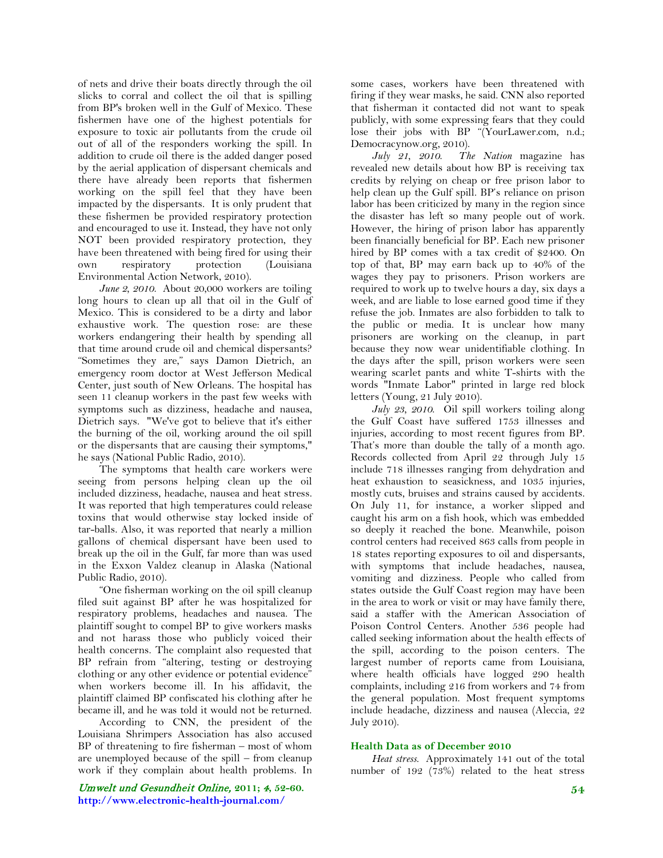of nets and drive their boats directly through the oil slicks to corral and collect the oil that is spilling from BP's broken well in the Gulf of Mexico. These fishermen have one of the highest potentials for exposure to toxic air pollutants from the crude oil out of all of the responders working the spill. In addition to crude oil there is the added danger posed by the aerial application of dispersant chemicals and there have already been reports that fishermen working on the spill feel that they have been impacted by the dispersants. It is only prudent that these fishermen be provided respiratory protection and encouraged to use it. Instead, they have not only NOT been provided respiratory protection, they have been threatened with being fired for using their own respiratory protection (Louisiana Environmental Action Network, 2010).

 *June 2, 2010*. About 20,000 workers are toiling long hours to clean up all that oil in the Gulf of Mexico. This is considered to be a dirty and labor exhaustive work. The question rose: are these workers endangering their health by spending all that time around crude oil and chemical dispersants? "Sometimes they are," says Damon Dietrich, an emergency room doctor at West Jefferson Medical Center, just south of New Orleans. The hospital has seen 11 cleanup workers in the past few weeks with symptoms such as dizziness, headache and nausea, Dietrich says. "We've got to believe that it's either the burning of the oil, working around the oil spill or the dispersants that are causing their symptoms," he says (National Public Radio, 2010).

 The symptoms that health care workers were seeing from persons helping clean up the oil included dizziness, headache, nausea and heat stress. It was reported that high temperatures could release toxins that would otherwise stay locked inside of tar-balls. Also, it was reported that nearly a million gallons of chemical dispersant have been used to break up the oil in the Gulf, far more than was used in the Exxon Valdez cleanup in Alaska (National Public Radio, 2010).

 "One fisherman working on the oil spill cleanup filed suit against BP after he was hospitalized for respiratory problems, headaches and nausea. The plaintiff sought to compel BP to give workers masks and not harass those who publicly voiced their health concerns. The complaint also requested that BP refrain from "altering, testing or destroying clothing or any other evidence or potential evidence" when workers become ill. In his affidavit, the plaintiff claimed BP confiscated his clothing after he became ill, and he was told it would not be returned.

 According to CNN, the president of the Louisiana Shrimpers Association has also accused BP of threatening to fire fisherman – most of whom are unemployed because of the spill – from cleanup work if they complain about health problems. In

Umwelt und Gesundheit Online, **2011;** 4**, 52-60. http://www.electronic-health-journal.com/**

some cases, workers have been threatened with firing if they wear masks, he said. CNN also reported that fisherman it contacted did not want to speak publicly, with some expressing fears that they could lose their jobs with BP "(YourLawer.com, n.d.; Democracynow.org, 2010).

 *July 21, 2010*. *The Nation* magazine has revealed new details about how BP is receiving tax credits by relying on cheap or free prison labor to help clean up the Gulf spill. BP's reliance on prison labor has been criticized by many in the region since the disaster has left so many people out of work. However, the hiring of prison labor has apparently been financially beneficial for BP. Each new prisoner hired by BP comes with a tax credit of \$2400. On top of that, BP may earn back up to 40% of the wages they pay to prisoners. Prison workers are required to work up to twelve hours a day, six days a week, and are liable to lose earned good time if they refuse the job. Inmates are also forbidden to talk to the public or media. It is unclear how many prisoners are working on the cleanup, in part because they now wear unidentifiable clothing. In the days after the spill, prison workers were seen wearing scarlet pants and white T-shirts with the words "Inmate Labor" printed in large red block letters (Young, 21 July 2010).

 *July 23, 2010*. Oil spill workers toiling along the Gulf Coast have suffered 1753 illnesses and injuries, according to most recent figures from BP. That's more than double the tally of a month ago. Records collected from April 22 through July 15 include 718 illnesses ranging from dehydration and heat exhaustion to seasickness, and 1035 injuries, mostly cuts, bruises and strains caused by accidents. On July 11, for instance, a worker slipped and caught his arm on a fish hook, which was embedded so deeply it reached the bone. Meanwhile, poison control centers had received 863 calls from people in 18 states reporting exposures to oil and dispersants, with symptoms that include headaches, nausea, vomiting and dizziness. People who called from states outside the Gulf Coast region may have been in the area to work or visit or may have family there, said a staffer with the American Association of Poison Control Centers. Another 536 people had called seeking information about the health effects of the spill, according to the poison centers. The largest number of reports came from Louisiana, where health officials have logged 290 health complaints, including 216 from workers and 74 from the general population. Most frequent symptoms include headache, dizziness and nausea (Aleccia, 22 July 2010).

## **Health Data as of December 2010**

 *Heat stress.* Approximately 141 out of the total number of 192  $(73%)$  related to the heat stress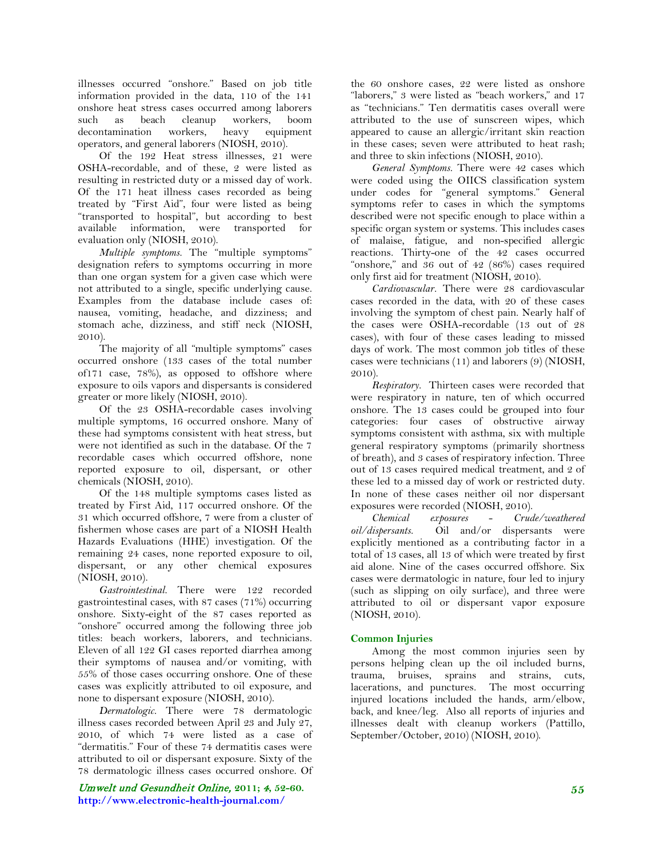illnesses occurred "onshore." Based on job title information provided in the data, 110 of the 141 onshore heat stress cases occurred among laborers such as beach cleanup workers, boom decontamination workers, heavy equipment operators, and general laborers (NIOSH, 2010).

 Of the 192 Heat stress illnesses, 21 were OSHA-recordable, and of these, 2 were listed as resulting in restricted duty or a missed day of work. Of the 171 heat illness cases recorded as being treated by "First Aid", four were listed as being "transported to hospital", but according to best available information, were transported for evaluation only (NIOSH, 2010).

 *Multiple symptoms.* The "multiple symptoms" designation refers to symptoms occurring in more than one organ system for a given case which were not attributed to a single, specific underlying cause. Examples from the database include cases of: nausea, vomiting, headache, and dizziness; and stomach ache, dizziness, and stiff neck (NIOSH, 2010).

 The majority of all "multiple symptoms" cases occurred onshore (133 cases of the total number of171 case, 78%), as opposed to offshore where exposure to oils vapors and dispersants is considered greater or more likely (NIOSH, 2010).

 Of the 23 OSHA-recordable cases involving multiple symptoms, 16 occurred onshore. Many of these had symptoms consistent with heat stress, but were not identified as such in the database. Of the 7 recordable cases which occurred offshore, none reported exposure to oil, dispersant, or other chemicals (NIOSH, 2010).

 Of the 148 multiple symptoms cases listed as treated by First Aid, 117 occurred onshore. Of the 31 which occurred offshore, 7 were from a cluster of fishermen whose cases are part of a NIOSH Health Hazards Evaluations (HHE) investigation. Of the remaining 24 cases, none reported exposure to oil, dispersant, or any other chemical exposures (NIOSH, 2010).

 *Gastrointestinal.* There were 122 recorded gastrointestinal cases, with 87 cases (71%) occurring onshore. Sixty-eight of the 87 cases reported as "onshore" occurred among the following three job titles: beach workers, laborers, and technicians. Eleven of all 122 GI cases reported diarrhea among their symptoms of nausea and/or vomiting, with 55% of those cases occurring onshore. One of these cases was explicitly attributed to oil exposure, and none to dispersant exposure (NIOSH, 2010).

 *Dermatologic.* There were 78 dermatologic illness cases recorded between April 23 and July 27, 2010, of which 74 were listed as a case of "dermatitis." Four of these 74 dermatitis cases were attributed to oil or dispersant exposure. Sixty of the 78 dermatologic illness cases occurred onshore. Of

Umwelt und Gesundheit Online, **2011;** 4**, 52-60. http://www.electronic-health-journal.com/**

the 60 onshore cases, 22 were listed as onshore "laborers," 3 were listed as "beach workers," and 17 as "technicians." Ten dermatitis cases overall were attributed to the use of sunscreen wipes, which appeared to cause an allergic/irritant skin reaction in these cases; seven were attributed to heat rash; and three to skin infections (NIOSH, 2010).

 *General Symptoms.* There were 42 cases which were coded using the OIICS classification system under codes for "general symptoms." General symptoms refer to cases in which the symptoms described were not specific enough to place within a specific organ system or systems. This includes cases of malaise, fatigue, and non-specified allergic reactions. Thirty-one of the 42 cases occurred "onshore," and 36 out of 42 (86%) cases required only first aid for treatment (NIOSH, 2010).

 *Cardiovascular.* There were 28 cardiovascular cases recorded in the data, with 20 of these cases involving the symptom of chest pain. Nearly half of the cases were OSHA-recordable (13 out of 28 cases), with four of these cases leading to missed days of work. The most common job titles of these cases were technicians (11) and laborers (9) (NIOSH, 2010).

 *Respiratory.* Thirteen cases were recorded that were respiratory in nature, ten of which occurred onshore. The 13 cases could be grouped into four categories: four cases of obstructive airway symptoms consistent with asthma, six with multiple general respiratory symptoms (primarily shortness of breath), and 3 cases of respiratory infection. Three out of 13 cases required medical treatment, and 2 of these led to a missed day of work or restricted duty. In none of these cases neither oil nor dispersant exposures were recorded (NIOSH, 2010).

 *Chemical exposures* - *Crude/weathered oil/dispersants.* Oil and/or dispersants were explicitly mentioned as a contributing factor in a total of 13 cases, all 13 of which were treated by first aid alone. Nine of the cases occurred offshore. Six cases were dermatologic in nature, four led to injury (such as slipping on oily surface), and three were attributed to oil or dispersant vapor exposure (NIOSH, 2010).

# **Common Injuries**

 Among the most common injuries seen by persons helping clean up the oil included burns, trauma, bruises, sprains and strains, cuts, lacerations, and punctures. The most occurring injured locations included the hands, arm/elbow, back, and knee/leg. Also all reports of injuries and illnesses dealt with cleanup workers (Pattillo, September/October, 2010) (NIOSH, 2010).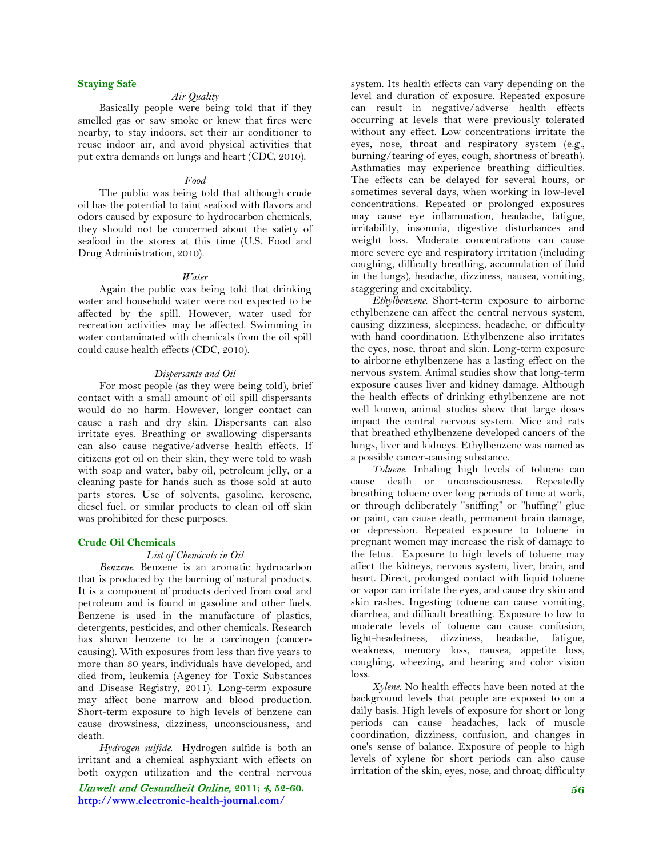# **Staying Safe**

# *Air Quality*

 Basically people were being told that if they smelled gas or saw smoke or knew that fires were nearby, to stay indoors, set their air conditioner to reuse indoor air, and avoid physical activities that put extra demands on lungs and heart (CDC, 2010).

## *Food*

 The public was being told that although crude oil has the potential to taint seafood with flavors and odors caused by exposure to hydrocarbon chemicals, they should not be concerned about the safety of seafood in the stores at this time (U.S. Food and Drug Administration, 2010).

#### *Water*

 Again the public was being told that drinking water and household water were not expected to be affected by the spill. However, water used for recreation activities may be affected. Swimming in water contaminated with chemicals from the oil spill could cause health effects (CDC, 2010).

## *Dispersants and Oil*

 For most people (as they were being told), brief contact with a small amount of oil spill dispersants would do no harm. However, longer contact can cause a rash and dry skin. Dispersants can also irritate eyes. Breathing or swallowing dispersants can also cause negative/adverse health effects. If citizens got oil on their skin, they were told to wash with soap and water, baby oil, petroleum jelly, or a cleaning paste for hands such as those sold at auto parts stores. Use of solvents, gasoline, kerosene, diesel fuel, or similar products to clean oil off skin was prohibited for these purposes.

#### **Crude Oil Chemicals**

#### *List of Chemicals in Oil*

 *Benzene*. Benzene is an aromatic hydrocarbon that is produced by the burning of natural products. It is a component of products derived from coal and petroleum and is found in gasoline and other fuels. Benzene is used in the manufacture of plastics, detergents, pesticides, and other chemicals. Research has shown benzene to be a carcinogen (cancercausing). With exposures from less than five years to more than 30 years, individuals have developed, and died from, leukemia (Agency for Toxic Substances and Disease Registry, 2011). Long-term exposure may affect bone marrow and blood production. Short-term exposure to high levels of benzene can cause drowsiness, dizziness, unconsciousness, and death.

 *Hydrogen sulfide*. Hydrogen sulfide is both an irritant and a chemical asphyxiant with effects on both oxygen utilization and the central nervous

Umwelt und Gesundheit Online, **2011;** 4**, 52-60. http://www.electronic-health-journal.com/**

system. Its health effects can vary depending on the level and duration of exposure. Repeated exposure can result in negative/adverse health effects occurring at levels that were previously tolerated without any effect. Low concentrations irritate the eyes, nose, throat and respiratory system (e.g., burning/tearing of eyes, cough, shortness of breath). Asthmatics may experience breathing difficulties. The effects can be delayed for several hours, or sometimes several days, when working in low-level concentrations. Repeated or prolonged exposures may cause eye inflammation, headache, fatigue, irritability, insomnia, digestive disturbances and weight loss. Moderate concentrations can cause more severe eye and respiratory irritation (including coughing, difficulty breathing, accumulation of fluid in the lungs), headache, dizziness, nausea, vomiting, staggering and excitability.

 *Ethylbenzene*. Short-term exposure to airborne ethylbenzene can affect the central nervous system, causing dizziness, sleepiness, headache, or difficulty with hand coordination. Ethylbenzene also irritates the eyes, nose, throat and skin. Long-term exposure to airborne ethylbenzene has a lasting effect on the nervous system. Animal studies show that long-term exposure causes liver and kidney damage. Although the health effects of drinking ethylbenzene are not well known, animal studies show that large doses impact the central nervous system. Mice and rats that breathed ethylbenzene developed cancers of the lungs, liver and kidneys. Ethylbenzene was named as a possible cancer-causing substance.

 *Toluene*. Inhaling high levels of toluene can cause death or unconsciousness. Repeatedly breathing toluene over long periods of time at work, or through deliberately "sniffing" or "huffing" glue or paint, can cause death, permanent brain damage, or depression. Repeated exposure to toluene in pregnant women may increase the risk of damage to the fetus. Exposure to high levels of toluene may affect the kidneys, nervous system, liver, brain, and heart. Direct, prolonged contact with liquid toluene or vapor can irritate the eyes, and cause dry skin and skin rashes. Ingesting toluene can cause vomiting, diarrhea, and difficult breathing. Exposure to low to moderate levels of toluene can cause confusion, light-headedness, dizziness, headache, fatigue, weakness, memory loss, nausea, appetite loss, coughing, wheezing, and hearing and color vision loss.

 *Xylene*. No health effects have been noted at the background levels that people are exposed to on a daily basis. High levels of exposure for short or long periods can cause headaches, lack of muscle coordination, dizziness, confusion, and changes in one's sense of balance. Exposure of people to high levels of xylene for short periods can also cause irritation of the skin, eyes, nose, and throat; difficulty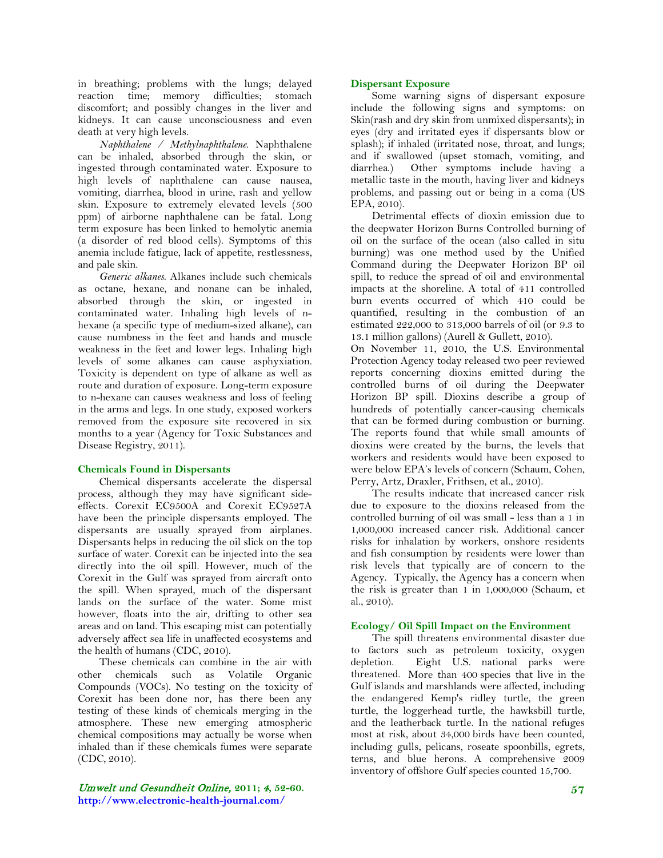in breathing; problems with the lungs; delayed reaction time; memory difficulties; stomach discomfort; and possibly changes in the liver and kidneys. It can cause unconsciousness and even death at very high levels.

 *Naphthalene / Methylnaphthalene*. Naphthalene can be inhaled, absorbed through the skin, or ingested through contaminated water. Exposure to high levels of naphthalene can cause nausea, vomiting, diarrhea, blood in urine, rash and yellow skin. Exposure to extremely elevated levels (500 ppm) of airborne naphthalene can be fatal. Long term exposure has been linked to hemolytic anemia (a disorder of red blood cells). Symptoms of this anemia include fatigue, lack of appetite, restlessness, and pale skin.

 *Generic alkanes*. Alkanes include such chemicals as octane, hexane, and nonane can be inhaled, absorbed through the skin, or ingested in contaminated water. Inhaling high levels of nhexane (a specific type of medium-sized alkane), can cause numbness in the feet and hands and muscle weakness in the feet and lower legs. Inhaling high levels of some alkanes can cause asphyxiation. Toxicity is dependent on type of alkane as well as route and duration of exposure. Long-term exposure to n-hexane can causes weakness and loss of feeling in the arms and legs. In one study, exposed workers removed from the exposure site recovered in six months to a year (Agency for Toxic Substances and Disease Registry, 2011).

# **Chemicals Found in Dispersants**

 Chemical dispersants accelerate the dispersal process, although they may have significant sideeffects. Corexit EC9500A and Corexit EC9527A have been the principle dispersants employed. The dispersants are usually sprayed from airplanes. Dispersants helps in reducing the oil slick on the top surface of water. Corexit can be injected into the sea directly into the oil spill. However, much of the Corexit in the Gulf was sprayed from aircraft onto the spill. When sprayed, much of the dispersant lands on the surface of the water. Some mist however, floats into the air, drifting to other sea areas and on land. This escaping mist can potentially adversely affect sea life in unaffected ecosystems and the health of humans (CDC, 2010).

 These chemicals can combine in the air with other chemicals such as Volatile Organic Compounds (VOCs). No testing on the toxicity of Corexit has been done nor, has there been any testing of these kinds of chemicals merging in the atmosphere. These new emerging atmospheric chemical compositions may actually be worse when inhaled than if these chemicals fumes were separate (CDC, 2010).

# **Dispersant Exposure**

 Some warning signs of dispersant exposure include the following signs and symptoms: on Skin(rash and dry skin from unmixed dispersants); in eyes (dry and irritated eyes if dispersants blow or splash); if inhaled (irritated nose, throat, and lungs; and if swallowed (upset stomach, vomiting, and diarrhea.) Other symptoms include having a metallic taste in the mouth, having liver and kidneys problems, and passing out or being in a coma (US EPA, 2010).

 Detrimental effects of dioxin emission due to the deepwater Horizon Burns Controlled burning of oil on the surface of the ocean (also called in situ burning) was one method used by the Unified Command during the Deepwater Horizon BP oil spill, to reduce the spread of oil and environmental impacts at the shoreline. A total of 411 controlled burn events occurred of which 410 could be quantified, resulting in the combustion of an estimated 222,000 to 313,000 barrels of oil (or 9.3 to 13.1 million gallons) (Aurell & Gullett, 2010).

On November 11, 2010, the U.S. Environmental Protection Agency today released two peer reviewed reports concerning dioxins emitted during the controlled burns of oil during the Deepwater Horizon BP spill. Dioxins describe a group of hundreds of potentially cancer-causing chemicals that can be formed during combustion or burning. The reports found that while small amounts of dioxins were created by the burns, the levels that workers and residents would have been exposed to were below EPA's levels of concern (Schaum, Cohen, Perry, Artz, Draxler, Frithsen, et al., 2010).

 The results indicate that increased cancer risk due to exposure to the dioxins released from the controlled burning of oil was small - less than a 1 in 1,000,000 increased cancer risk. Additional cancer risks for inhalation by workers, onshore residents and fish consumption by residents were lower than risk levels that typically are of concern to the Agency. Typically, the Agency has a concern when the risk is greater than 1 in 1,000,000 (Schaum, et al., 2010).

## **Ecology/ Oil Spill Impact on the Environment**

 The spill threatens environmental disaster due to factors such as petroleum toxicity, oxygen depletion. Eight U.S. national parks were threatened. More than 400 species that live in the Gulf islands and marshlands were affected, including the endangered Kemp's ridley turtle, the green turtle, the loggerhead turtle, the hawksbill turtle, and the leatherback turtle. In the national refuges most at risk, about 34,000 birds have been counted, including gulls, pelicans, roseate spoonbills, egrets, terns, and blue herons. A comprehensive 2009 inventory of offshore Gulf species counted 15,700.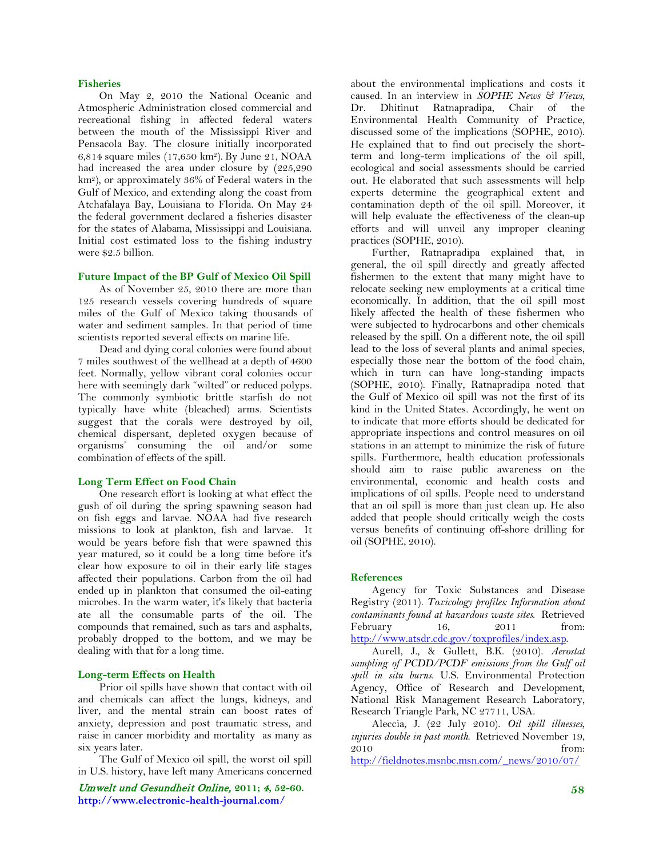# **Fisheries**

 On May 2, 2010 the National Oceanic and Atmospheric Administration closed commercial and recreational fishing in affected federal waters between the mouth of the Mississippi River and Pensacola Bay. The closure initially incorporated 6,814 square miles (17,650 km2). By June 21, NOAA had increased the area under closure by (225,290 km2), or approximately 36% of Federal waters in the Gulf of Mexico, and extending along the coast from Atchafalaya Bay, Louisiana to Florida. On May 24 the federal government declared a fisheries disaster for the states of Alabama, Mississippi and Louisiana. Initial cost estimated loss to the fishing industry were \$2.5 billion.

# **Future Impact of the BP Gulf of Mexico Oil Spill**

 As of November 25, 2010 there are more than 125 research vessels covering hundreds of square miles of the Gulf of Mexico taking thousands of water and sediment samples. In that period of time scientists reported several effects on marine life.

 Dead and dying coral colonies were found about 7 miles southwest of the wellhead at a depth of 4600 feet. Normally, yellow vibrant coral colonies occur here with seemingly dark "wilted" or reduced polyps. The commonly symbiotic brittle starfish do not typically have white (bleached) arms. Scientists suggest that the corals were destroyed by oil, chemical dispersant, depleted oxygen because of organisms' consuming the oil and/or some combination of effects of the spill.

#### **Long Term Effect on Food Chain**

 One research effort is looking at what effect the gush of oil during the spring spawning season had on fish eggs and larvae. NOAA had five research missions to look at plankton, fish and larvae. It would be years before fish that were spawned this year matured, so it could be a long time before it's clear how exposure to oil in their early life stages affected their populations. Carbon from the oil had ended up in plankton that consumed the oil-eating microbes. In the warm water, it's likely that bacteria ate all the consumable parts of the oil. The compounds that remained, such as tars and asphalts, probably dropped to the bottom, and we may be dealing with that for a long time.

#### **Long-term Effects on Health**

 Prior oil spills have shown that contact with oil and chemicals can affect the lungs, kidneys, and liver, and the mental strain can boost rates of anxiety, depression and post traumatic stress, and raise in cancer morbidity and mortality as many as six years later.

 The Gulf of Mexico oil spill, the worst oil spill in U.S. history, have left many Americans concerned

Umwelt und Gesundheit Online, **2011;** 4**, 52-60. http://www.electronic-health-journal.com/**

about the environmental implications and costs it caused. In an interview in *SOPHE News & Views*, Dr. Dhitinut Ratnapradipa, Chair of the Environmental Health Community of Practice, discussed some of the implications (SOPHE, 2010). He explained that to find out precisely the shortterm and long-term implications of the oil spill, ecological and social assessments should be carried out. He elaborated that such assessments will help experts determine the geographical extent and contamination depth of the oil spill. Moreover, it will help evaluate the effectiveness of the clean-up efforts and will unveil any improper cleaning practices (SOPHE, 2010).

 Further, Ratnapradipa explained that, in general, the oil spill directly and greatly affected fishermen to the extent that many might have to relocate seeking new employments at a critical time economically. In addition, that the oil spill most likely affected the health of these fishermen who were subjected to hydrocarbons and other chemicals released by the spill. On a different note, the oil spill lead to the loss of several plants and animal species, especially those near the bottom of the food chain, which in turn can have long-standing impacts (SOPHE, 2010). Finally, Ratnapradipa noted that the Gulf of Mexico oil spill was not the first of its kind in the United States. Accordingly, he went on to indicate that more efforts should be dedicated for appropriate inspections and control measures on oil stations in an attempt to minimize the risk of future spills. Furthermore, health education professionals should aim to raise public awareness on the environmental, economic and health costs and implications of oil spills. People need to understand that an oil spill is more than just clean up. He also added that people should critically weigh the costs versus benefits of continuing off-shore drilling for oil (SOPHE, 2010).

## **References**

 Agency for Toxic Substances and Disease Registry (2011). *Toxicology profiles: Information about contaminants found at hazardous waste sites*. Retrieved February 16, 2011 from: [http://www.atsdr.cdc.gov/toxprofiles/index.asp.](http://www.atsdr.cdc.gov/toxprofiles/index.asp)

 Aurell, J., & Gullett, B.K. (2010). *Aerostat sampling of PCDD/PCDF emissions from the Gulf oil spill in situ burns*. U.S. Environmental Protection Agency, Office of Research and Development, National Risk Management Research Laboratory, Research Triangle Park, NC 27711, USA.

 Aleccia, J. (22 July 2010). *Oil spill illnesses, injuries double in past month*. Retrieved November 19, 2010 from:

[http://fieldnotes.msnbc.msn.com/\\_news/2010/07/](http://fieldnotes.msnbc.msn.com/_news/2010/07/22/4279816-oil-spill-illnesses-injries-double-in-past-month)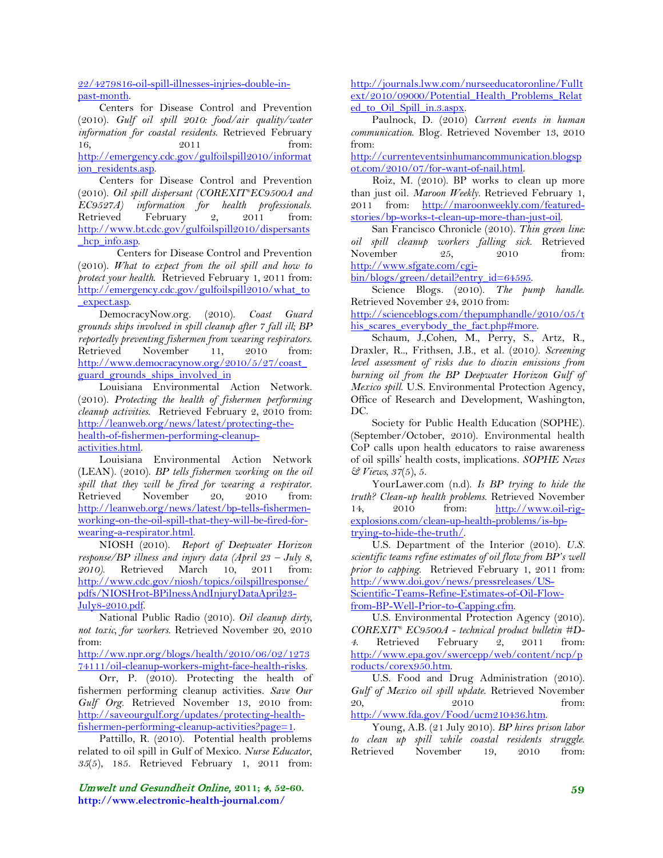22/4279816-oil-spill-illnesses-injries-double-inpast-month.

 Centers for Disease Control and Prevention (2010). *Gulf oil spill 2010: food/air quality/water information for coastal residents*. Retrieved February 16, 2011 from: [http://emergency.cdc.gov/gulfoilspill2010/informat](http://emergency.cdc.gov/gulfoilspill2010/information_residents.asp) ion residents.asp.

 Centers for Disease Control and Prevention (2010). *Oil spill dispersant (COREXIT® EC9500A and EC9527A) information for health professionals*. Retrieved February 2, 2011 from: [http://www.bt.cdc.gov/gulfoilspill2010/dispersants](http://www.bt.cdc.gov/gulfoilspill2010/dispersants_hcp_info.asp) hcp info.asp.

Centers for Disease Control and Prevention (2010). *What to expect from the oil spill and how to protect your health*. Retrieved February 1, 2011 from: [http://emergency.cdc.gov/gulfoilspill2010/what\\_to](http://emergency.cdc.gov/gulfoilspill2010/what_to_expect.asp) [\\_expect.asp.](http://emergency.cdc.gov/gulfoilspill2010/what_to_expect.asp)

 DemocracyNow.org. (2010). *Coast Guard grounds ships involved in spill cleanup after 7 fall ill; BP reportedly preventing fishermen from wearing respirators*. Retrieved November 11, 2010 from: [http://www.democracynow.org/2010/5/27/coast\\_](http://www.democracynow.org/2010/5/27/coast_guard_grounds_ships_involved_in) guard grounds ships involved in

 Louisiana Environmental Action Network. (2010). *Protecting the health of fishermen performing cleanup activities*. Retrieved February 2, 2010 from: [http://leanweb.org/news/latest/protecting-the](http://leanweb.org/news/latest/protecting-the-health-of-fishermen-performing-cleanup-activities.html)[health-of-fishermen-performing-cleanup](http://leanweb.org/news/latest/protecting-the-health-of-fishermen-performing-cleanup-activities.html)[activities.html.](http://leanweb.org/news/latest/protecting-the-health-of-fishermen-performing-cleanup-activities.html)

 Louisiana Environmental Action Network (LEAN). (2010). *BP tells fishermen working on the oil spill that they will be fired for wearing a respirator*. Retrieved November 20, 2010 from: [http://leanweb.org/news/latest/bp-tells-fishermen](http://leanweb.org/news/latest/bp-tells-fishermen-working-on-the-oil-spill-that-they-will-be-fired-for-wearing-a-respirator.html)[working-on-the-oil-spill-that-they-will-be-fired-for](http://leanweb.org/news/latest/bp-tells-fishermen-working-on-the-oil-spill-that-they-will-be-fired-for-wearing-a-respirator.html)[wearing-a-respirator.html.](http://leanweb.org/news/latest/bp-tells-fishermen-working-on-the-oil-spill-that-they-will-be-fired-for-wearing-a-respirator.html)

 NIOSH (2010). *Report of Deepwater Horizon response/BP illness and injury data (April 23 – July 8, 2010)*. Retrieved March 10, 2011 from: [http://www.cdc.gov/niosh/topics/oilspillresponse/](http://www.cdc.gov/niosh/topics/oilspillresponse/pdfs/NIOSHrot-BPilnessAndInjuryDataApril23-July8-2010.pdf) [pdfs/NIOSHrot-BPilnessAndInjuryDataApril23-](http://www.cdc.gov/niosh/topics/oilspillresponse/pdfs/NIOSHrot-BPilnessAndInjuryDataApril23-July8-2010.pdf) [July8-2010.pdf.](http://www.cdc.gov/niosh/topics/oilspillresponse/pdfs/NIOSHrot-BPilnessAndInjuryDataApril23-July8-2010.pdf)

 National Public Radio (2010). *Oil cleanup dirty, not toxic, for workers*. Retrieved November 20, 2010 from:

[http://ww.npr.org/blogs/health/2010/06/02/1273](http://ww.npr.org/blogs/health/2010/06/02/127374111/oil-cleanup-workers-might-face-health-risks) [74111/oil-cleanup-workers-might-face-health-risks.](http://ww.npr.org/blogs/health/2010/06/02/127374111/oil-cleanup-workers-might-face-health-risks)

 Orr, P. (2010). Protecting the health of fishermen performing cleanup activities. *Save Our Gulf Org.* Retrieved November 13, 2010 from: [http://saveourgulf.org/updates/protecting-health](http://saveourgulf.org/updates/protecting-health-fishermen-performing-cleanup-activities?page=1)[fishermen-performing-cleanup-activities?page=1.](http://saveourgulf.org/updates/protecting-health-fishermen-performing-cleanup-activities?page=1)

 Pattillo, R. (2010). Potential health problems related to oil spill in Gulf of Mexico. *Nurse Educator*, *35*(5), 185. Retrieved February 1, 2011 from:

Umwelt und Gesundheit Online, **2011;** 4**, 52-60. http://www.electronic-health-journal.com/**

[http://journals.lww.com/nurseeducatoronline/Fullt](http://journals.lww.com/nurseeducatoronline/Fulltext/2010/09000/Potential_Health_Problems_Related_to_Oil_Spill_in.3.aspx) [ext/2010/09000/Potential\\_Health\\_Problems\\_Relat](http://journals.lww.com/nurseeducatoronline/Fulltext/2010/09000/Potential_Health_Problems_Related_to_Oil_Spill_in.3.aspx) [ed\\_to\\_Oil\\_Spill\\_in.3.aspx.](http://journals.lww.com/nurseeducatoronline/Fulltext/2010/09000/Potential_Health_Problems_Related_to_Oil_Spill_in.3.aspx)

 Paulnock, D. (2010) *Current events in human communication*. Blog. Retrieved November 13, 2010 from:

[http://currenteventsinhumancommunication.blogsp](http://currenteventsinhumancommunication.blogspot.com/2010/07/for-want-of-nail.html) [ot.com/2010/07/for-want-of-nail.html.](http://currenteventsinhumancommunication.blogspot.com/2010/07/for-want-of-nail.html)

 Roiz, M. (2010). BP works to clean up more than just oil. *Maroon Weekly.* Retrieved February 1, 2011 from: [http://maroonweekly.com/featured](http://maroonweekly.com/featured-stories/bp-works-t-clean-up-more-than-just-oil)[stories/bp-works-t-clean-up-more-than-just-oil.](http://maroonweekly.com/featured-stories/bp-works-t-clean-up-more-than-just-oil)

 San Francisco Chronicle (2010). *Thin green line: oil spill cleanup workers falling sick*. Retrieved November 25, 2010 from: [http://www.sfgate.com/cgi-](http://www.sfgate.com/cgi-bin/blogs/green/detail?entry_id=64595)

bin/blogs/green/detail?entry\_id=64595.

 Science Blogs. (2010). *The pump handle*. Retrieved November 24, 2010 from:

[http://scienceblogs.com/thepumphandle/2010/05/t](http://scienceblogs.com/thepumphandle/2010/05/this_scares_everybody_the_fact.php#more) his scares everybody the fact.php#more.

 Schaum, J.,Cohen, M., Perry, S., Artz, R., Draxler, R.., Frithsen, J.B., et al. (2010*). Screening level assessment of risks due to dioxin emissions from burning oil from the BP Deepwater Horizon Gulf of Mexico spill*. U.S. Environmental Protection Agency, Office of Research and Development, Washington, DC.

 Society for Public Health Education (SOPHE). (September/October, 2010). Environmental health CoP calls upon health educators to raise awareness of oil spills' health costs, implications. *SOPHE News & Views, 37*(5), 5.

 YourLawer.com (n.d). *Is BP trying to hide the truth? Clean-up health problems*. Retrieved November 14, 2010 from: [http://www.oil-rig](http://www.oil-rig-explosions.com/clean-up-health-problems/is-bp-trying-to-hide-the-truth/)[explosions.com/clean-up-health-problems/is-bp](http://www.oil-rig-explosions.com/clean-up-health-problems/is-bp-trying-to-hide-the-truth/)[trying-to-hide-the-truth/.](http://www.oil-rig-explosions.com/clean-up-health-problems/is-bp-trying-to-hide-the-truth/)

 U.S. Department of the Interior (2010). *U.S. scientific teams refine estimates of oil flow from BP's well prior to capping*. Retrieved February 1, 2011 from: [http://www.doi.gov/news/pressreleases/US-](http://www.doi.gov/news/pressreleases/US-Scientific-Teams-Refine-Estimates-of-Oil-Flow-from-BP-Well-Prior-to-Capping.cfm)[Scientific-Teams-Refine-Estimates-of-Oil-Flow](http://www.doi.gov/news/pressreleases/US-Scientific-Teams-Refine-Estimates-of-Oil-Flow-from-BP-Well-Prior-to-Capping.cfm)[from-BP-Well-Prior-to-Capping.cfm.](http://www.doi.gov/news/pressreleases/US-Scientific-Teams-Refine-Estimates-of-Oil-Flow-from-BP-Well-Prior-to-Capping.cfm)

 U.S. Environmental Protection Agency (2010). *COREXIT® EC9500A - technical product bulletin #D-4*. Retrieved February 2, 2011 from: [http://www.epa.gov/swercepp/web/content/ncp/p](http://www.epa.gov/swercepp/web/content/ncp/products/corex950.htm) [roducts/corex950.htm.](http://www.epa.gov/swercepp/web/content/ncp/products/corex950.htm)

 U.S. Food and Drug Administration (2010). *Gulf of Mexico oil spill update*. Retrieved November 20, 2010 from: [http://www.fda.gov/Food/ucm210436.htm.](http://www.fda.gov/Food/ucm210436.htm)

 Young, A.B. (21 July 2010). *BP hires prison labor to clean up spill while coastal residents struggle*. Retrieved November 19, 2010 from: